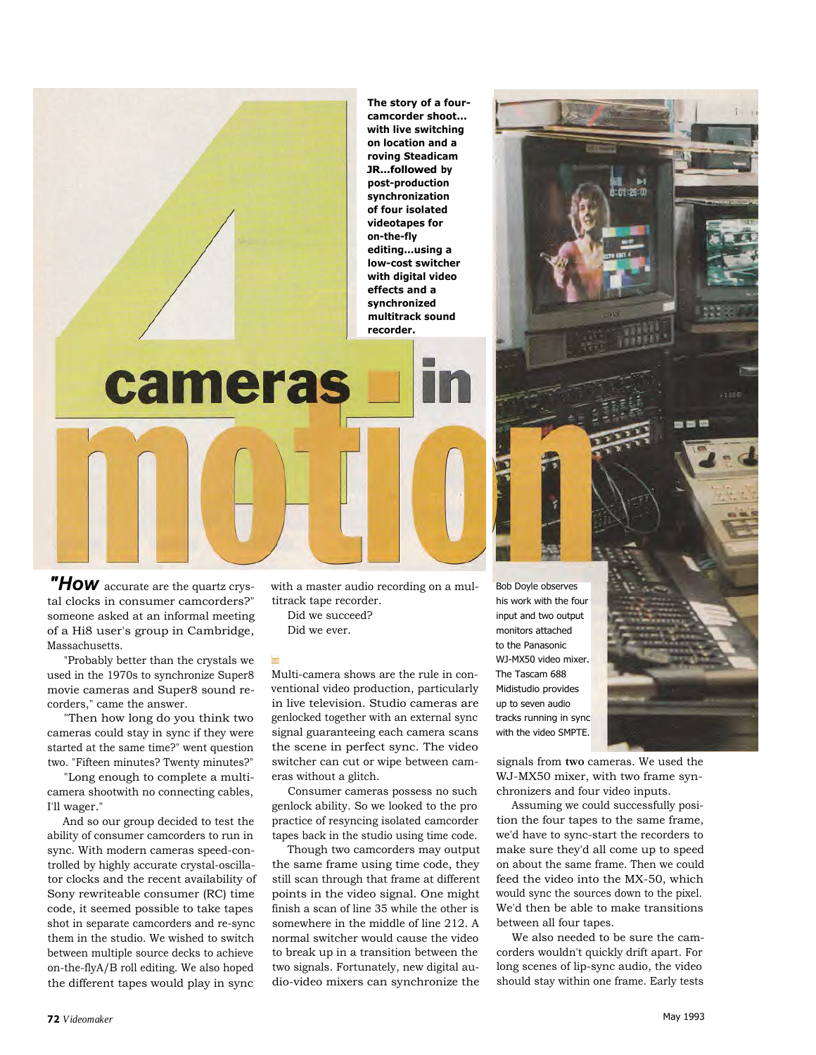

*"How* accurate are the quartz crystal clocks in consumer camcorders?" someone asked at an informal meeting of a Hi8 user's group in Cambridge, Massachusetts.

"Probably better than the crystals we used in the 1970s to synchronize Super8 movie cameras and Super8 sound recorders," came the answer.

"Then how long do you think two cameras could stay in sync if they were started at the same time?" went question two. "Fifteen minutes? Twenty minutes?"

"Long enough to complete a multicamera shootwith no connecting cables, I'll wager."

And so our group decided to test the ability of consumer camcorders to run in sync. With modern cameras speed-controlled by highly accurate crystal-oscillator clocks and the recent availability of Sony rewriteable consumer (RC) time code, it seemed possible to take tapes shot in separate camcorders and re-sync them in the studio. We wished to switch between multiple source decks to achieve on-the-flyA/B roll editing. We also hoped the different tapes would play in sync

with a master audio recording on a multitrack tape recorder.

Did we succeed? Did we ever.

**Experimentation**

Multi-camera shows are the rule in conventional video production, particularly in live television. Studio cameras are genlocked together with an external sync signal guaranteeing each camera scans the scene in perfect sync. The video switcher can cut or wipe between cameras without a glitch.

Consumer cameras possess no such genlock ability. So we looked to the pro practice of resyncing isolated camcorder tapes back in the studio using time code.

Though two camcorders may output the same frame using time code, they still scan through that frame at different points in the video signal. One might finish a scan of line 35 while the other is somewhere in the middle of line 212. A normal switcher would cause the video to break up in a transition between the two signals. Fortunately, new digital audio-video mixers can synchronize the

Bob Doyle observes his work with the four input and two output monitors attached to the Panasonic WJ-MX50 video mixer. The Tascam 688 Midistudio provides up to seven audio tracks running in sync with the video SMPTE.

signals from **two** cameras. We used the WJ-MX50 mixer, with two frame synchronizers and four video inputs.

Assuming we could successfully position the four tapes to the same frame, we'd have to sync-start the recorders to make sure they'd all come up to speed on about the same frame. Then we could feed the video into the MX-50, which would sync the sources down to the pixel. We'd then be able to make transitions between all four tapes.

We also needed to be sure the camcorders wouldn't quickly drift apart. For long scenes of lip-sync audio, the video should stay within one frame. Early tests

- - -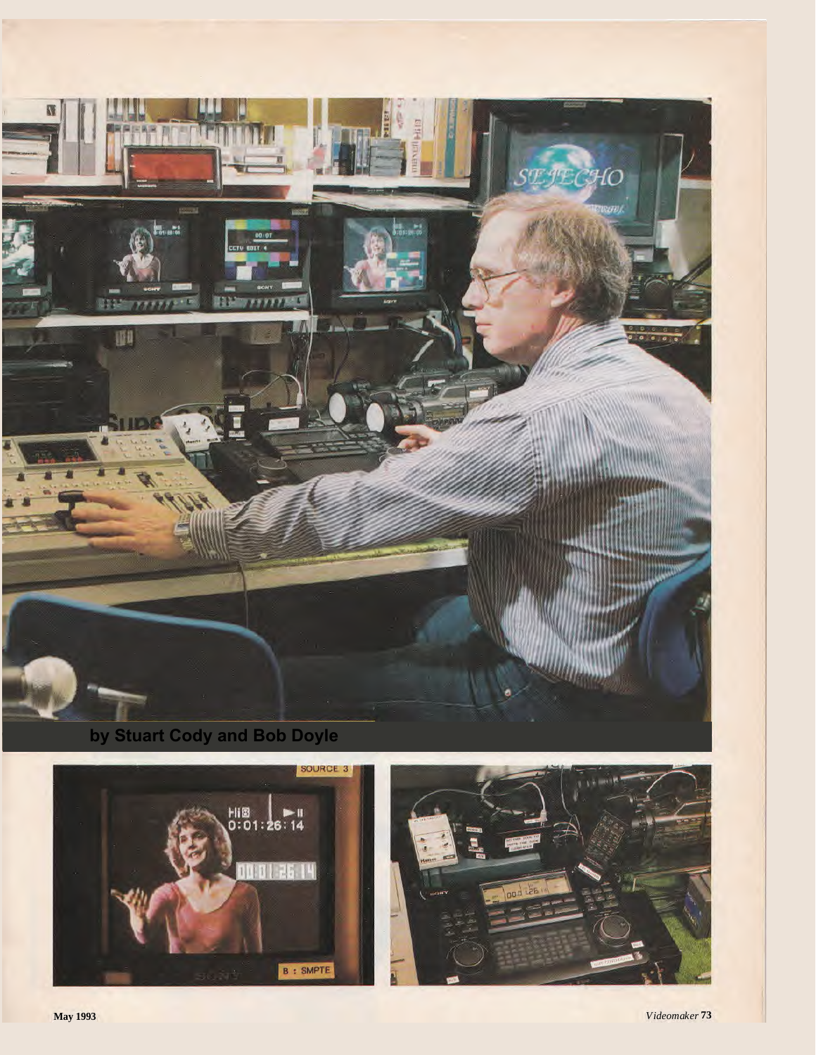



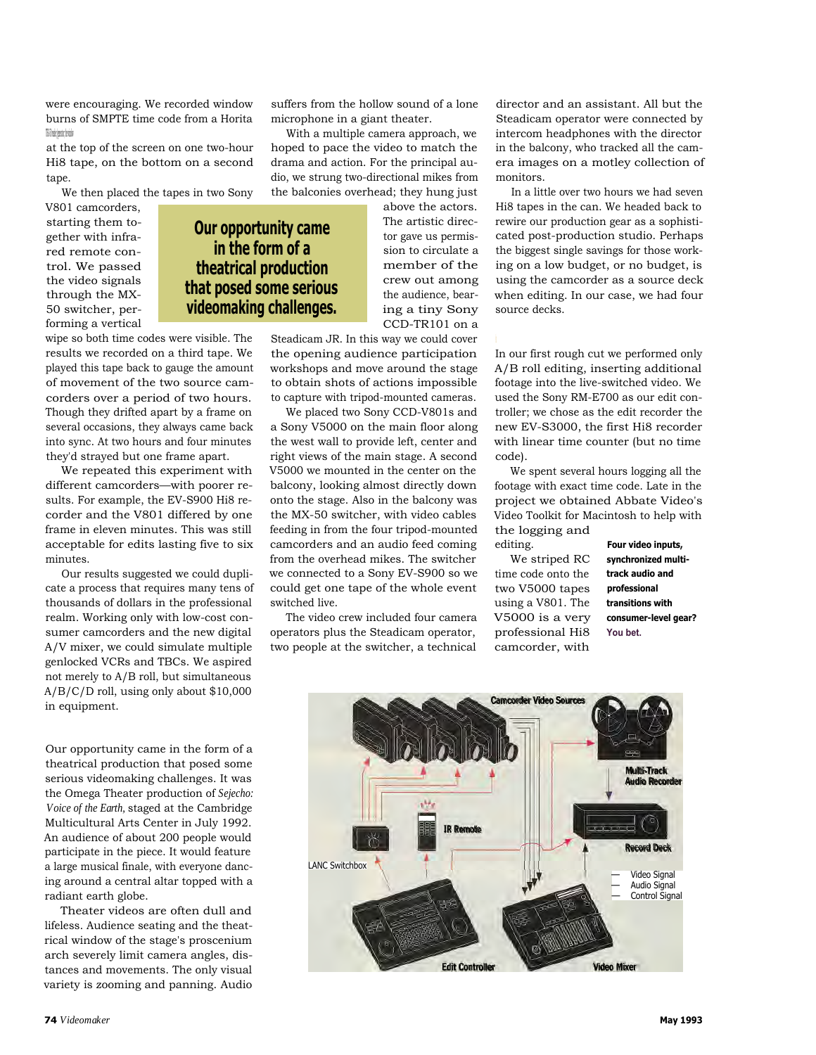were encouraging. We recorded window burns of SMPTE time code from a Horita TRG-50 reader/generator; the window

at the top of the screen on one two-hour Hi8 tape, on the bottom on a second tape.

We then placed the tapes in two Sony

**Our opportunity came in the form of a theatrical production that posed some serious videomaking challenges.**

V801 camcorders, starting them together with infrared remote control. We passed the video signals through the MX-50 switcher, performing a vertical

wipe so both time codes were visible. The results we recorded on a third tape. We played this tape back to gauge the amount of movement of the two source camcorders over a period of two hours. Though they drifted apart by a frame on several occasions, they always came back into sync. At two hours and four minutes they'd strayed but one frame apart.

We repeated this experiment with different camcorders—with poorer results. For example, the EV-S900 Hi8 recorder and the V801 differed by one frame in eleven minutes. This was still acceptable for edits lasting five to six minutes.

Our results suggested we could duplicate a process that requires many tens of thousands of dollars in the professional realm. Working only with low-cost consumer camcorders and the new digital A/V mixer, we could simulate multiple genlocked VCRs and TBCs. We aspired not merely to A/B roll, but simultaneous A/B/C/D roll, using only about \$10,000 in equipment.

Our opportunity came in the form of a theatrical production that posed some serious videomaking challenges. It was the Omega Theater production of *Sejecho: Voice of the Earth,* staged at the Cambridge Multicultural Arts Center in July 1992. An audience of about 200 people would participate in the piece. It would feature a large musical finale, with everyone dancing around a central altar topped with a radiant earth globe.

Theater videos are often dull and lifeless. Audience seating and the theatrical window of the stage's proscenium arch severely limit camera angles, distances and movements. The only visual variety is zooming and panning. Audio

suffers from the hollow sound of a lone microphone in a giant theater.

With a multiple camera approach, we hoped to pace the video to match the drama and action. For the principal audio, we strung two-directional mikes from the balconies overhead; they hung just

> above the actors. The artistic director gave us permission to circulate a member of the crew out among the audience, bearing a tiny Sony CCD-TR101 on a

Steadicam JR. In this way we could cover the opening audience participation workshops and move around the stage to obtain shots of actions impossible to capture with tripod-mounted cameras.

We placed two Sony CCD-V801s and a Sony V5000 on the main floor along the west wall to provide left, center and right views of the main stage. A second V5000 we mounted in the center on the balcony, looking almost directly down onto the stage. Also in the balcony was the MX-50 switcher, with video cables feeding in from the four tripod-mounted camcorders and an audio feed coming from the overhead mikes. The switcher we connected to a Sony EV-S900 so we could get one tape of the whole event switched live.

The video crew included four camera operators plus the Steadicam operator, two people at the switcher, a technical

director and an assistant. All but the Steadicam operator were connected by intercom headphones with the director in the balcony, who tracked all the camera images on a motley collection of monitors.

In a little over two hours we had seven Hi8 tapes in the can. We headed back to rewire our production gear as a sophisticated post-production studio. Perhaps the biggest single savings for those working on a low budget, or no budget, is using the camcorder as a source deck when editing. In our case, we had four source decks.

In our first rough cut we performed only A/B roll editing, inserting additional footage into the live-switched video. We used the Sony RM-E700 as our edit controller; we chose as the edit recorder the new EV-S3000, the first Hi8 recorder with linear time counter (but no time code).

We spent several hours logging all the footage with exact time code. Late in the project we obtained Abbate Video's Video Toolkit for Macintosh to help with the logging and

editing. We striped RC time code onto the two V5000 tapes using a V801. The V5000 is a very professional Hi8 camcorder, with

**Four video inputs, synchronized multitrack audio and professional transitions with consumer-level gear? You bet.**